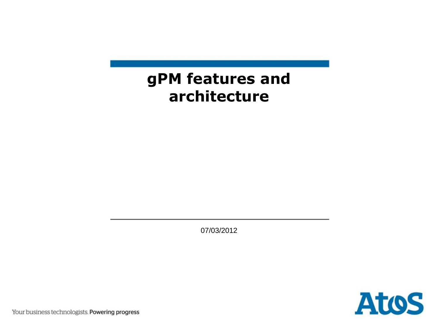#### **gPM features and architecture**

07/03/2012



Your business technologists. Powering progress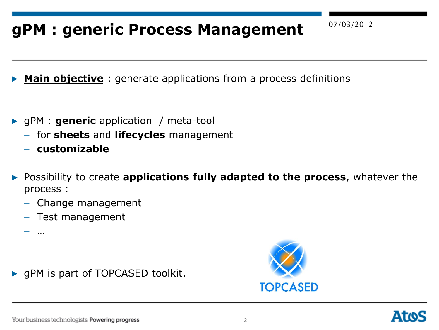### 07/03/2012 **gPM : generic Process Management**

**Main objective**: generate applications from a process definitions

- ▶ gPM : **generic** application / meta-tool
	- for **sheets** and **lifecycles** management
	- **customizable**
- ▶ Possibility to create **applications fully adapted to the process**, whatever the process :
	- Change management
	- Test management

– …

▶ gPM is part of TOPCASED toolkit.



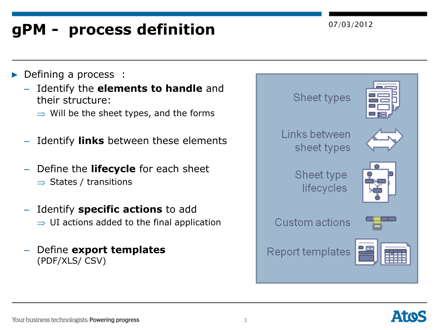# 07/03/2012 **gPM - process definition**

#### **Defining a process :**

- Identify the **elements to handle** and their structure:
	- $\Rightarrow$  Will be the sheet types, and the forms
- Identify **links** between these elements
- Define the **lifecycle** for each sheet  $\Rightarrow$  States / transitions
- Identify **specific actions** to add  $\Rightarrow$  UI actions added to the final application
- Define **export templates**  (PDF/XLS/ CSV)



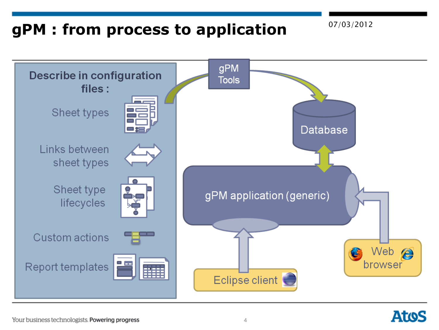### 07/03/2012 **gPM : from process to application**



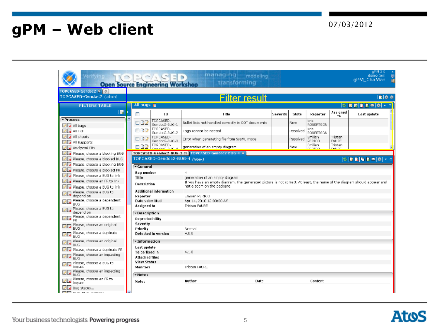# 07/03/2012 **gPM – Web client**

| TOPCASED-Gendoc2 (admin)                                                                                                                                                                                                                                                                                                                                                                                                                                                                                                                                                       |                                       |                               | Filter result                                                                                                                                         |          |          |                             |                          | 動物点                                                     |  |
|--------------------------------------------------------------------------------------------------------------------------------------------------------------------------------------------------------------------------------------------------------------------------------------------------------------------------------------------------------------------------------------------------------------------------------------------------------------------------------------------------------------------------------------------------------------------------------|---------------------------------------|-------------------------------|-------------------------------------------------------------------------------------------------------------------------------------------------------|----------|----------|-----------------------------|--------------------------|---------------------------------------------------------|--|
| <b>FILTERS TABLE</b>                                                                                                                                                                                                                                                                                                                                                                                                                                                                                                                                                           |                                       | All bugs $E$                  |                                                                                                                                                       |          |          |                             |                          |                                                         |  |
| ы                                                                                                                                                                                                                                                                                                                                                                                                                                                                                                                                                                              | Г                                     | ID.                           | Title                                                                                                                                                 | Severity | State    | Reporter                    | Assianed<br>to           | Last update                                             |  |
| <b>vProcess</b>                                                                                                                                                                                                                                                                                                                                                                                                                                                                                                                                                                | $\Box$                                | TOPCASED-<br>Gendoc2-BUG-1    | Bullet lists not handled correctly in ODT documents.                                                                                                  |          | New.     | Кгіs.<br><b>ROBERTSON</b>   |                          |                                                         |  |
| $\sqrt{2}$ all bugs<br>A AIFRS                                                                                                                                                                                                                                                                                                                                                                                                                                                                                                                                                 | $\Box$                                | TOPCASED-                     | Tags cannot be nested                                                                                                                                 |          | Resolved | Kris                        |                          |                                                         |  |
| <b>AL</b> All sheets                                                                                                                                                                                                                                                                                                                                                                                                                                                                                                                                                           |                                       | Gendoc2-BUG-2<br>TOPCASED-    |                                                                                                                                                       |          |          | <b>ROBERTSON</b><br>Emilien | Tristan                  |                                                         |  |
| All all Supports                                                                                                                                                                                                                                                                                                                                                                                                                                                                                                                                                               | n RD                                  | Gendoc2-BUG-3                 | Error when generating file from SysML model                                                                                                           |          | Resolved | PERICO.                     | <b>FAURE</b>             |                                                         |  |
| Analyzed FRS                                                                                                                                                                                                                                                                                                                                                                                                                                                                                                                                                                   | $-42$                                 | TOPCASED-<br>Gendov2-BLIG-4   | generation of an empty diagram.                                                                                                                       |          | New      | Emilien<br><b>BERICO</b>    | Tristan<br><b>EALIDE</b> |                                                         |  |
| Please, choose a blocking BUG                                                                                                                                                                                                                                                                                                                                                                                                                                                                                                                                                  |                                       |                               | TOPCASED-Gendoc2-BUG-3 % TOPCASED-Gendoc2-BUG-4 %                                                                                                     |          |          |                             |                          |                                                         |  |
| Please, choose a blocked BUG                                                                                                                                                                                                                                                                                                                                                                                                                                                                                                                                                   |                                       | TOPCASED-Gendoc2-BUG-4 (New)  |                                                                                                                                                       |          |          |                             |                          | $ 0 $ <b>B B</b> $ 0 $ <b>B</b> $ 0 $ $ 0 $ $\le$ $ 0 $ |  |
| Please, choose a blocking BUG                                                                                                                                                                                                                                                                                                                                                                                                                                                                                                                                                  | General                               |                               |                                                                                                                                                       |          |          |                             |                          |                                                         |  |
| Please, choose a blocked FR                                                                                                                                                                                                                                                                                                                                                                                                                                                                                                                                                    | <b>Bug number</b>                     |                               | 4                                                                                                                                                     |          |          |                             |                          |                                                         |  |
|                                                                                                                                                                                                                                                                                                                                                                                                                                                                                                                                                                                |                                       |                               |                                                                                                                                                       |          |          |                             |                          |                                                         |  |
|                                                                                                                                                                                                                                                                                                                                                                                                                                                                                                                                                                                | <b>Title</b>                          |                               | generation of an empty diagram                                                                                                                        |          |          |                             |                          |                                                         |  |
|                                                                                                                                                                                                                                                                                                                                                                                                                                                                                                                                                                                | Description                           |                               | If you have an empty diagram. The generated picture is not correct. At least, the name of the diagram should appear and<br>not a zoom on the package. |          |          |                             |                          |                                                         |  |
|                                                                                                                                                                                                                                                                                                                                                                                                                                                                                                                                                                                |                                       | <b>Additional information</b> |                                                                                                                                                       |          |          |                             |                          |                                                         |  |
| depend on                                                                                                                                                                                                                                                                                                                                                                                                                                                                                                                                                                      | Reporter                              |                               | Emilien PERICO                                                                                                                                        |          |          |                             |                          |                                                         |  |
|                                                                                                                                                                                                                                                                                                                                                                                                                                                                                                                                                                                | Date submitted                        |                               | Apr 14, 2010 12:00:00 AM                                                                                                                              |          |          |                             |                          |                                                         |  |
|                                                                                                                                                                                                                                                                                                                                                                                                                                                                                                                                                                                | Assigned to                           |                               | Tristan FAURE                                                                                                                                         |          |          |                             |                          |                                                         |  |
| depend on                                                                                                                                                                                                                                                                                                                                                                                                                                                                                                                                                                      | Description                           |                               |                                                                                                                                                       |          |          |                             |                          |                                                         |  |
|                                                                                                                                                                                                                                                                                                                                                                                                                                                                                                                                                                                | Reproducibility                       |                               |                                                                                                                                                       |          |          |                             |                          |                                                         |  |
|                                                                                                                                                                                                                                                                                                                                                                                                                                                                                                                                                                                | <b>Severity</b><br>Priority           |                               | Nomal                                                                                                                                                 |          |          |                             |                          |                                                         |  |
|                                                                                                                                                                                                                                                                                                                                                                                                                                                                                                                                                                                |                                       | Detected in version           | 4.0.0                                                                                                                                                 |          |          |                             |                          |                                                         |  |
|                                                                                                                                                                                                                                                                                                                                                                                                                                                                                                                                                                                | · Information                         |                               |                                                                                                                                                       |          |          |                             |                          |                                                         |  |
|                                                                                                                                                                                                                                                                                                                                                                                                                                                                                                                                                                                | Last update                           |                               |                                                                                                                                                       |          |          |                             |                          |                                                         |  |
|                                                                                                                                                                                                                                                                                                                                                                                                                                                                                                                                                                                | To be fixed in                        |                               | 4.1.0                                                                                                                                                 |          |          |                             |                          |                                                         |  |
| <b>BUG</b>                                                                                                                                                                                                                                                                                                                                                                                                                                                                                                                                                                     | <b>Attached files</b>                 |                               |                                                                                                                                                       |          |          |                             |                          |                                                         |  |
| impact                                                                                                                                                                                                                                                                                                                                                                                                                                                                                                                                                                         | <b>View Status</b><br><b>Monitors</b> |                               | Tristan FAURE                                                                                                                                         |          |          |                             |                          |                                                         |  |
| Please, choose an impacting                                                                                                                                                                                                                                                                                                                                                                                                                                                                                                                                                    |                                       |                               |                                                                                                                                                       |          |          |                             |                          |                                                         |  |
| Please, choose a BUG to link<br>Please, choose an FR to link<br>File Please, choose a BUG to link<br><b>Alla</b> Please, choose a BUG to<br>File Please, choose a dependent<br><b>Bila</b> Please, choose a BUG to<br>$\mathbb{Z}[\mathbf{z}]$ Please, choose a dependent<br><b>Digital</b> Please, choose an original<br>Please, choose a duplicate<br>Please, choose an original<br>BUG<br>A Please, choose a duplicate FR<br><b>Dividende</b> , choose an impacting<br>$\Box$ Please, choose a BUG to<br>ہ ان<br><b>BUG</b><br><b>Dig</b> Please, choose an FR to<br>impact | * Notes<br>Notes                      |                               | Author<br>Date                                                                                                                                        |          |          | Content                     |                          |                                                         |  |

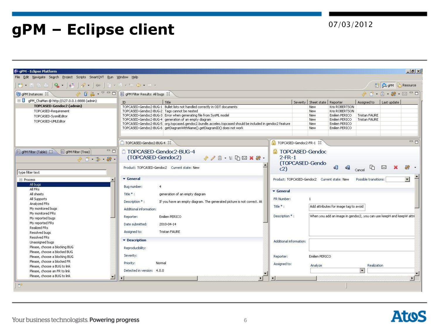# 07/03/2012 **gPM – Eclipse client**

|                                                                                                                                                                                                                                                                                                                                                                                                                                                                                        |                                                                                                                                                                                                                                                                                                                                                                                                                                                                                                                                                                                                                                         |                                                                                                                                                                                                                                                                                                                                                                                                                                                                              |                                                                                    |                                                                                                              |                                                                         | <b>ES SPA OPM C</b> Resource |                                       |  |  |  |
|----------------------------------------------------------------------------------------------------------------------------------------------------------------------------------------------------------------------------------------------------------------------------------------------------------------------------------------------------------------------------------------------------------------------------------------------------------------------------------------|-----------------------------------------------------------------------------------------------------------------------------------------------------------------------------------------------------------------------------------------------------------------------------------------------------------------------------------------------------------------------------------------------------------------------------------------------------------------------------------------------------------------------------------------------------------------------------------------------------------------------------------------|------------------------------------------------------------------------------------------------------------------------------------------------------------------------------------------------------------------------------------------------------------------------------------------------------------------------------------------------------------------------------------------------------------------------------------------------------------------------------|------------------------------------------------------------------------------------|--------------------------------------------------------------------------------------------------------------|-------------------------------------------------------------------------|------------------------------|---------------------------------------|--|--|--|
| <b>1 gPM Instances 23</b> → S D & → <sup>▽ □</sup> □ ■ gPM Filter Results: All bugs 23                                                                                                                                                                                                                                                                                                                                                                                                 | $\circledast \bullet \bullet \bullet \bullet \bullet \bullet \bullet \bullet \bullet \bullet \bullet \bullet \bullet$                                                                                                                                                                                                                                                                                                                                                                                                                                                                                                                   |                                                                                                                                                                                                                                                                                                                                                                                                                                                                              |                                                                                    |                                                                                                              |                                                                         |                              |                                       |  |  |  |
| □ 0 gPM_ChaMan @ http://127.0.0.1:8888 (admin)<br>TOPCASED-Gendoc2 (admin)<br>TOPCASED-Requirement<br>TOPCASED-SysmlEditor<br>TOPCASED-UMLEditor                                                                                                                                                                                                                                                                                                                                       | Title<br>TOPCASED-Gendoc2-BUG-1 Bullet lists not handled correctly in ODT documents<br>TOPCASED-Gendoc2-BUG-2 Tags cannot be nested<br>TOPCASED-Gendoc2-BUG-3 Error when generating file from SysML model<br>TOPCASED-Gendoc2-BUG-4 generation of an empty diagram<br>TOPCASED-Gendoc2-BUG-5 org.topcased.gendoc2.bundle.acceleo.topcased should be included in gendoc2 feature<br>TOPCASED-Gendoc2-BUG-6 getDiagramWithName(),getDiagramID() does not work                                                                                                                                                                             |                                                                                                                                                                                                                                                                                                                                                                                                                                                                              | Severity   Sheet state   Reporter<br>New<br>New<br>New<br>New<br>New<br><b>New</b> | Kris ROBERTSON<br>Kris ROBERTSON<br>Emilien PERICO<br>Emilien PERICO<br>Emilien PERICO<br>Emilien PERICO     | Assigned to Last update<br><b>Tristan FAURE</b><br><b>Tristan FAURE</b> |                              |                                       |  |  |  |
| $=$ $\Box$<br>□ qPM Filter (Table) $\&$ □ qPM Filter (Tree)<br>$-96 - 26 - 80$<br>type filter text                                                                                                                                                                                                                                                                                                                                                                                     | TOPCASED-Gendoc2-BUG-4 23<br>TOPCASED-Gendoc2-BUG-4<br>(TOPCASED-Gendoc2)<br>$\circledast \nearrow \hat{=} \cdot \text{if } \text{max} \ \text{if } \text{max} \ \text{if } \text{max} \ \text{if } \text{max} \ \text{if } \text{max} \ \text{if } \text{max} \ \text{if } \text{max} \ \text{if } \text{max} \ \text{if } \text{max} \ \text{if } \text{max} \ \text{if } \text{max} \ \text{if } \text{max} \ \text{if } \text{max} \ \text{if } \text{max} \ \text{if } \text{max} \ \text{if } \text{max} \ \text{if } \text{max} \ \text{if } \text{max} \ \text{if } \text{max$<br>Product: TOPCASED-Gendoc2  Current state: New | $=$ $F$<br>TOPCASED-Gendoc2-FR-1 23<br>TOPCASED-Gendoc<br>$2-FR-1$<br>(TOPCASED-Gendo<br>$\triangleleft$<br>$\begin{picture}(160,10) \put(0,0){\line(1,0){10}} \put(15,0){\line(1,0){10}} \put(15,0){\line(1,0){10}} \put(15,0){\line(1,0){10}} \put(15,0){\line(1,0){10}} \put(15,0){\line(1,0){10}} \put(15,0){\line(1,0){10}} \put(15,0){\line(1,0){10}} \put(15,0){\line(1,0){10}} \put(15,0){\line(1,0){10}} \put(15,0){\line(1,0){10}} \put(15,0){\line($<br>69<br>c2) |                                                                                    |                                                                                                              |                                                                         |                              |                                       |  |  |  |
| $E$ Process<br>All bugs<br>All FR <sub>S</sub><br>All sheets<br>All Supports<br>Analyzed FRs<br>My monitored buas<br>My monitored FRs<br>My reported bugs<br>My reported FRs<br>Realized FRs<br>Resolved buas<br>Resolved FRs<br>Unassigned bugs<br>Please, choose a blocking BUG<br>Please, choose a blocked BUG<br>Please, choose a blocking BUG<br>Please, choose a blocked FR<br>Please, choose a BUG to link<br>Please, choose an FR to link<br>Please, choose a BUG to link<br>ᅬ | $\blacktriangleright$ General<br>Bug number:<br>Title *:<br>generation of an empty diagram<br>Description *:<br>If you have an empty diagram. The generated picture is not correct. At<br>Additional information:<br>Emilien PERICO<br>Reporter:<br>Date submitted:<br>2010-04-14<br>Assigned to:<br>Tristan FAURE<br>• Description<br>Reproducibility:<br>Severity:<br>Priority:<br>Normal<br>Detected in version: 4.0.0<br>$\lvert$<br>$\blacksquare$                                                                                                                                                                                 | Product: TOPCASED-Gendoc2  Current state: New<br><b>v</b> General<br>FR Number:<br>Title *:<br>Description *:<br>Additional information:<br>Reporter:<br>Assigned to:                                                                                                                                                                                                                                                                                                        | Emilien PERICO<br>Analyze                                                          | Add attributes for image tag to avoid<br>When you add an image in gendoc2, you can use keepH and keepW attri | Possible transitions:<br>Realization<br>Ы                               |                              | $\mathbf{r}$<br>$\blacktriangleright$ |  |  |  |

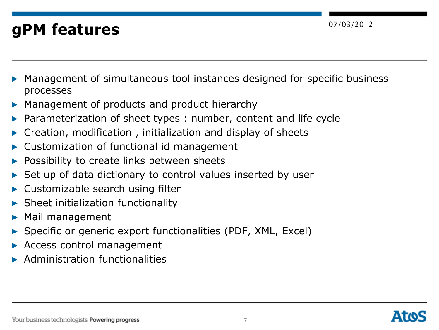### 07/03/2012 **gPM features**

- Management of simultaneous tool instances designed for specific business processes
- ▶ Management of products and product hierarchy
- Parameterization of sheet types : number, content and life cycle
- Creation, modification, initialization and display of sheets
- Customization of functional id management
- Possibility to create links between sheets
- Set up of data dictionary to control values inserted by user
- Customizable search using filter
- **Sheet initialization functionality**
- Mail management
- Specific or generic export functionalities (PDF, XML, Excel)
- Access control management
- ▶ Administration functionalities

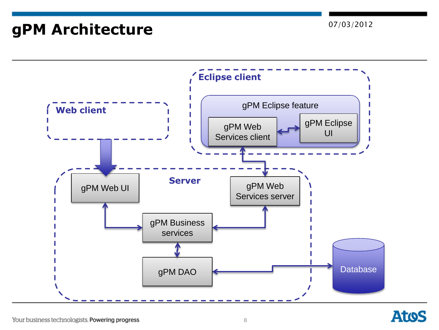# 07/03/2012 **gPM Architecture**



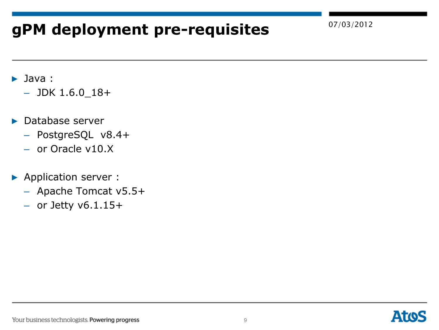# 07/03/2012 **gPM deployment pre-requisites**

- ▶ Java :
	- $-$  JDK 1.6.0\_18+
- ▶ Database server
	- PostgreSQL v8.4+
	- or Oracle v10.X
- ▶ Application server :
	- Apache Tomcat v5.5+
	- $-$  or Jetty v6.1.15+